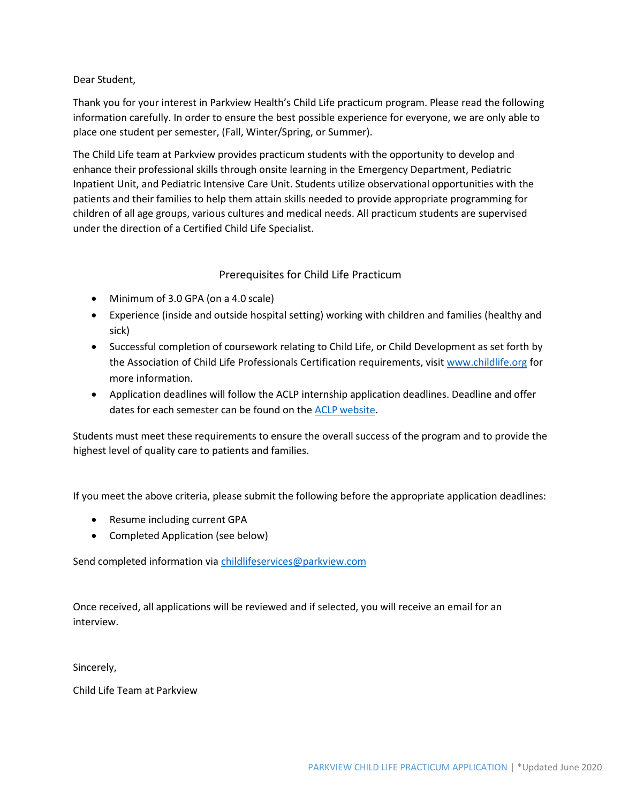Dear Student,

Thank you for your interest in Parkview Health's Child Life practicum program. Please read the following information carefully. In order to ensure the best possible experience for everyone, we are only able to place one student per semester, (Fall, Winter/Spring, or Summer).

The Child Life team at Parkview provides practicum students with the opportunity to develop and enhance their professional skills through onsite learning in the Emergency Department, Pediatric Inpatient Unit, and Pediatric Intensive Care Unit. Students utilize observational opportunities with the patients and their families to help them attain skills needed to provide appropriate programming for children of all age groups, various cultures and medical needs. All practicum students are supervised under the direction of a Certified Child Life Specialist.

## Prerequisites for Child Life Practicum

- Minimum of 3.0 GPA (on a 4.0 scale)
- Experience (inside and outside hospital setting) working with children and families (healthy and sick)
- Successful completion of coursework relating to Child Life, or Child Development as set forth by the Association of Child Life Professionals Certification requirements, visit [www.childlife.org](http://www.childlife.org/) for more information.
- Application deadlines will follow the ACLP internship application deadlines. Deadline and offer dates for each semester can be found on the ACLP [website.](https://www.childlife.org/certification/certification-resources/internship-deadlines)

Students must meet these requirements to ensure the overall success of the program and to provide the highest level of quality care to patients and families.

If you meet the above criteria, please submit the following before the appropriate application deadlines:

- Resume including current GPA
- Completed Application (see below)

Send completed information via [childlifeservices@parkview.com](mailto:childlifeservices@parkview.com)

Once received, all applications will be reviewed and if selected, you will receive an email for an interview.

Sincerely,

Child Life Team at Parkview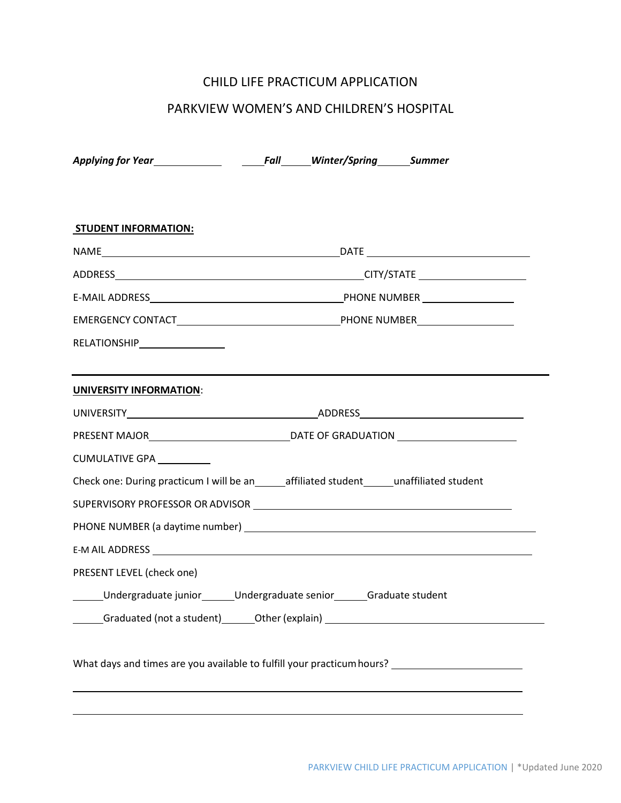# CHILD LIFE PRACTICUM APPLICATION

# PARKVIEW WOMEN'S AND CHILDREN'S HOSPITAL

| <b>STUDENT INFORMATION:</b>                                                                          |  |  |  |  |
|------------------------------------------------------------------------------------------------------|--|--|--|--|
|                                                                                                      |  |  |  |  |
|                                                                                                      |  |  |  |  |
|                                                                                                      |  |  |  |  |
|                                                                                                      |  |  |  |  |
| RELATIONSHIP__________________                                                                       |  |  |  |  |
| <b>UNIVERSITY INFORMATION:</b>                                                                       |  |  |  |  |
|                                                                                                      |  |  |  |  |
|                                                                                                      |  |  |  |  |
| CUMULATIVE GPA __________                                                                            |  |  |  |  |
| Check one: During practicum I will be an ______ affiliated student ______ unaffiliated student       |  |  |  |  |
|                                                                                                      |  |  |  |  |
|                                                                                                      |  |  |  |  |
|                                                                                                      |  |  |  |  |
| PRESENT LEVEL (check one)                                                                            |  |  |  |  |
| Undergraduate junior_______Undergraduate senior_______Graduate student                               |  |  |  |  |
|                                                                                                      |  |  |  |  |
| What days and times are you available to fulfill your practicum hours? _____________________________ |  |  |  |  |
|                                                                                                      |  |  |  |  |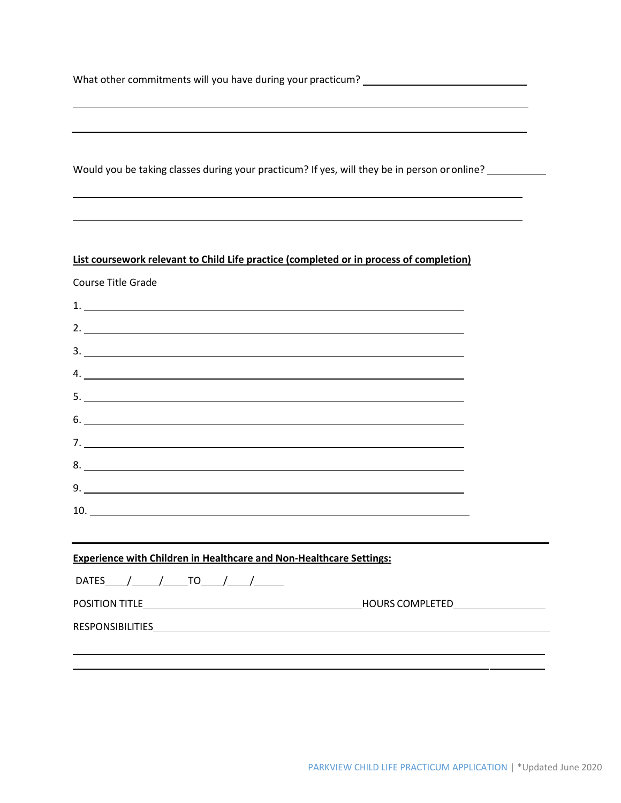What other commitments will you have during your practicum? \_\_\_\_\_\_\_\_\_\_\_\_\_\_\_\_\_\_\_\_\_

Would you be taking classes during your practicum? If yes, will they be in person or online? \_\_\_\_\_\_\_\_\_\_\_\_

#### **List coursework relevant to Child Life practice (completed or in process of completion)**

Course Title Grade

| 2. $\overline{\phantom{a}}$                                                                                                                                                                                                    |  |
|--------------------------------------------------------------------------------------------------------------------------------------------------------------------------------------------------------------------------------|--|
| $\frac{1}{2}$                                                                                                                                                                                                                  |  |
| 4.                                                                                                                                                                                                                             |  |
| $5.$ $\overline{\phantom{a}}$                                                                                                                                                                                                  |  |
| 6.                                                                                                                                                                                                                             |  |
|                                                                                                                                                                                                                                |  |
| 8.                                                                                                                                                                                                                             |  |
| 9.                                                                                                                                                                                                                             |  |
|                                                                                                                                                                                                                                |  |
|                                                                                                                                                                                                                                |  |
| ,我们也不会有什么。""我们的人,我们也不会有什么?""我们的人,我们也不会有什么?""我们的人,我们也不会有什么?""我们的人,我们也不会有什么?""我们的人<br><b>Experience with Children in Healthcare and Non-Healthcare Settings:</b>                                                                 |  |
| DATES $/$ $/$ $T0$ $/$ $/$                                                                                                                                                                                                     |  |
|                                                                                                                                                                                                                                |  |
| RESPONSIBILITIES POSTAGE AND A CONTRACT A CONTRACT A CONTRACT OF A CONTRACT OF A CONTRACT OF A CONTRACT OF A CONTRACT OF A CONTRACT OF A CONTRACT OF A CONTRACT OF A CONTRACT OF A CONTRACT OF A CONTRACT OF A CONTRACT OF A C |  |
|                                                                                                                                                                                                                                |  |
|                                                                                                                                                                                                                                |  |

 $\overline{\phantom{a}}$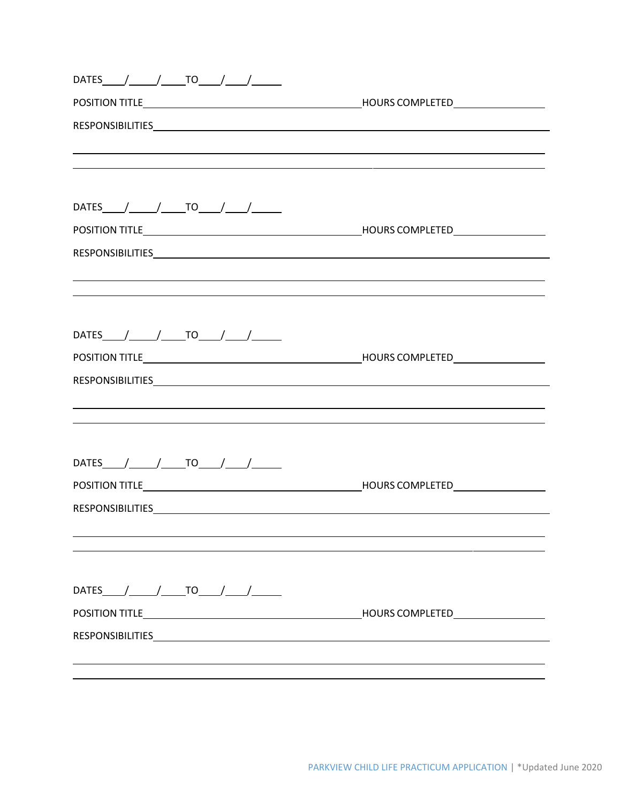| DATES_____/______/______TO_____/______/_______                                                                        |                                                                                  |
|-----------------------------------------------------------------------------------------------------------------------|----------------------------------------------------------------------------------|
|                                                                                                                       |                                                                                  |
|                                                                                                                       |                                                                                  |
|                                                                                                                       | ,我们也不会有什么。""我们的人,我们也不会有什么?""我们的人,我们也不会有什么?""我们的人,我们也不会有什么?""我们的人,我们也不会有什么?""我们的人 |
| <u> 1989 - Andrea Santa Andrea Santa Andrea Santa Andrea Santa Andrea Santa Andrea Santa Andrea Santa Andrea San</u>  |                                                                                  |
|                                                                                                                       |                                                                                  |
|                                                                                                                       |                                                                                  |
|                                                                                                                       |                                                                                  |
|                                                                                                                       |                                                                                  |
| ,我们也不会有什么。""我们的人,我们也不会有什么?""我们的人,我们也不会有什么?""我们的人,我们也不会有什么?""我们的人,我们也不会有什么?""我们的人                                      |                                                                                  |
| <u> 1989 - Andrea Santa Andrea Santa Andrea Santa Andrea Santa Andrea Santa Andrea Santa Andrea Santa Andrea San</u>  |                                                                                  |
|                                                                                                                       |                                                                                  |
| DATES $/$ $/$ $T0$ $/$ $/$                                                                                            |                                                                                  |
|                                                                                                                       |                                                                                  |
|                                                                                                                       |                                                                                  |
|                                                                                                                       |                                                                                  |
|                                                                                                                       |                                                                                  |
|                                                                                                                       |                                                                                  |
| DATES $1$ TO $1$                                                                                                      |                                                                                  |
|                                                                                                                       |                                                                                  |
| RESPONSIBILITIES <b>And All and All and All and All and All and All and All and All and All and All and All and A</b> |                                                                                  |
|                                                                                                                       |                                                                                  |
|                                                                                                                       |                                                                                  |
|                                                                                                                       |                                                                                  |
| DATES $/$ $/$ $T0$ $/$ $/$                                                                                            |                                                                                  |
|                                                                                                                       |                                                                                  |
|                                                                                                                       |                                                                                  |
|                                                                                                                       |                                                                                  |
|                                                                                                                       |                                                                                  |